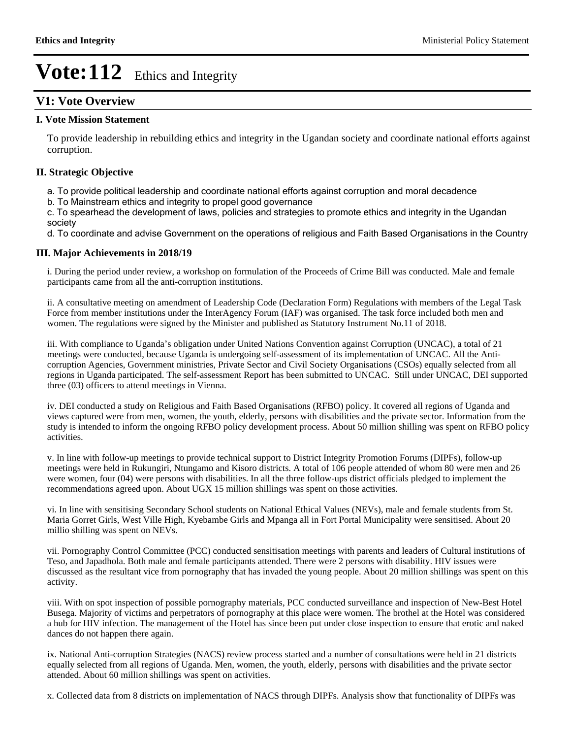## **V1: Vote Overview**

### **I. Vote Mission Statement**

To provide leadership in rebuilding ethics and integrity in the Ugandan society and coordinate national efforts against corruption.

### **II. Strategic Objective**

a. To provide political leadership and coordinate national efforts against corruption and moral decadence

b. To Mainstream ethics and integrity to propel good governance

c. To spearhead the development of laws, policies and strategies to promote ethics and integrity in the Ugandan society

d. To coordinate and advise Government on the operations of religious and Faith Based Organisations in the Country

#### **III. Major Achievements in 2018/19**

i. During the period under review, a workshop on formulation of the Proceeds of Crime Bill was conducted. Male and female participants came from all the anti-corruption institutions.

ii. A consultative meeting on amendment of Leadership Code (Declaration Form) Regulations with members of the Legal Task Force from member institutions under the InterAgency Forum (IAF) was organised. The task force included both men and women. The regulations were signed by the Minister and published as Statutory Instrument No.11 of 2018.

iii. With compliance to Uganda's obligation under United Nations Convention against Corruption (UNCAC), a total of 21 meetings were conducted, because Uganda is undergoing self-assessment of its implementation of UNCAC. All the Anticorruption Agencies, Government ministries, Private Sector and Civil Society Organisations (CSOs) equally selected from all regions in Uganda participated. The self-assessment Report has been submitted to UNCAC. Still under UNCAC, DEI supported three (03) officers to attend meetings in Vienna.

iv. DEI conducted a study on Religious and Faith Based Organisations (RFBO) policy. It covered all regions of Uganda and views captured were from men, women, the youth, elderly, persons with disabilities and the private sector. Information from the study is intended to inform the ongoing RFBO policy development process. About 50 million shilling was spent on RFBO policy activities.

v. In line with follow-up meetings to provide technical support to District Integrity Promotion Forums (DIPFs), follow-up meetings were held in Rukungiri, Ntungamo and Kisoro districts. A total of 106 people attended of whom 80 were men and 26 were women, four (04) were persons with disabilities. In all the three follow-ups district officials pledged to implement the recommendations agreed upon. About UGX 15 million shillings was spent on those activities.

vi. In line with sensitising Secondary School students on National Ethical Values (NEVs), male and female students from St. Maria Gorret Girls, West Ville High, Kyebambe Girls and Mpanga all in Fort Portal Municipality were sensitised. About 20 millio shilling was spent on NEVs.

vii. Pornography Control Committee (PCC) conducted sensitisation meetings with parents and leaders of Cultural institutions of Teso, and Japadhola. Both male and female participants attended. There were 2 persons with disability. HIV issues were discussed as the resultant vice from pornography that has invaded the young people. About 20 million shillings was spent on this activity.

viii. With on spot inspection of possible pornography materials, PCC conducted surveillance and inspection of New-Best Hotel Busega. Majority of victims and perpetrators of pornography at this place were women. The brothel at the Hotel was considered a hub for HIV infection. The management of the Hotel has since been put under close inspection to ensure that erotic and naked dances do not happen there again.

ix. National Anti-corruption Strategies (NACS) review process started and a number of consultations were held in 21 districts equally selected from all regions of Uganda. Men, women, the youth, elderly, persons with disabilities and the private sector attended. About 60 million shillings was spent on activities.

x. Collected data from 8 districts on implementation of NACS through DIPFs. Analysis show that functionality of DIPFs was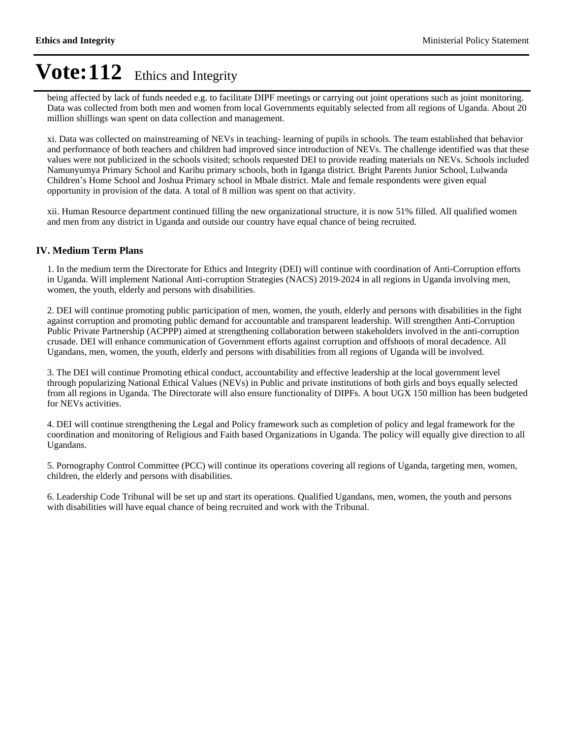being affected by lack of funds needed e.g. to facilitate DIPF meetings or carrying out joint operations such as joint monitoring. Data was collected from both men and women from local Governments equitably selected from all regions of Uganda. About 20 million shillings wan spent on data collection and management.

xi. Data was collected on mainstreaming of NEVs in teaching- learning of pupils in schools. The team established that behavior and performance of both teachers and children had improved since introduction of NEVs. The challenge identified was that these values were not publicized in the schools visited; schools requested DEI to provide reading materials on NEVs. Schools included Namunyumya Primary School and Karibu primary schools, both in Iganga district. Bright Parents Junior School, Lulwanda Children's Home School and Joshua Primary school in Mbale district. Male and female respondents were given equal opportunity in provision of the data. A total of 8 million was spent on that activity.

xii. Human Resource department continued filling the new organizational structure, it is now 51% filled. All qualified women and men from any district in Uganda and outside our country have equal chance of being recruited.

### **IV. Medium Term Plans**

1. In the medium term the Directorate for Ethics and Integrity (DEI) will continue with coordination of Anti-Corruption efforts in Uganda. Will implement National Anti-corruption Strategies (NACS) 2019-2024 in all regions in Uganda involving men, women, the youth, elderly and persons with disabilities.

2. DEI will continue promoting public participation of men, women, the youth, elderly and persons with disabilities in the fight against corruption and promoting public demand for accountable and transparent leadership. Will strengthen Anti-Corruption Public Private Partnership (ACPPP) aimed at strengthening collaboration between stakeholders involved in the anti-corruption crusade. DEI will enhance communication of Government efforts against corruption and offshoots of moral decadence. All Ugandans, men, women, the youth, elderly and persons with disabilities from all regions of Uganda will be involved.

3. The DEI will continue Promoting ethical conduct, accountability and effective leadership at the local government level through popularizing National Ethical Values (NEVs) in Public and private institutions of both girls and boys equally selected from all regions in Uganda. The Directorate will also ensure functionality of DIPFs. A bout UGX 150 million has been budgeted for NEVs activities.

4. DEI will continue strengthening the Legal and Policy framework such as completion of policy and legal framework for the coordination and monitoring of Religious and Faith based Organizations in Uganda. The policy will equally give direction to all Ugandans.

5. Pornography Control Committee (PCC) will continue its operations covering all regions of Uganda, targeting men, women, children, the elderly and persons with disabilities.

6. Leadership Code Tribunal will be set up and start its operations. Qualified Ugandans, men, women, the youth and persons with disabilities will have equal chance of being recruited and work with the Tribunal.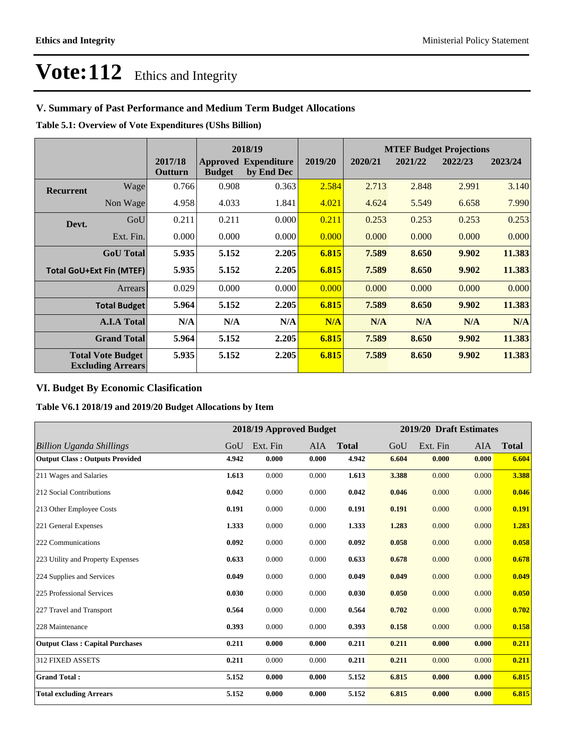## **V. Summary of Past Performance and Medium Term Budget Allocations**

**Table 5.1: Overview of Vote Expenditures (UShs Billion)**

|                                 |                                                      | 2018/19            |               |                                           |         |         |         | <b>MTEF Budget Projections</b> |         |
|---------------------------------|------------------------------------------------------|--------------------|---------------|-------------------------------------------|---------|---------|---------|--------------------------------|---------|
|                                 |                                                      | 2017/18<br>Outturn | <b>Budget</b> | <b>Approved Expenditure</b><br>by End Dec | 2019/20 | 2020/21 | 2021/22 | 2022/23                        | 2023/24 |
| <b>Recurrent</b>                | Wagel                                                | 0.766              | 0.908         | 0.363                                     | 2.584   | 2.713   | 2.848   | 2.991                          | 3.140   |
|                                 | Non Wage                                             | 4.958              | 4.033         | 1.841                                     | 4.021   | 4.624   | 5.549   | 6.658                          | 7.990   |
| Devt.                           | GoU                                                  | 0.211              | 0.211         | 0.000                                     | 0.211   | 0.253   | 0.253   | 0.253                          | 0.253   |
|                                 | Ext. Fin.                                            | 0.000              | 0.000         | 0.000                                     | 0.000   | 0.000   | 0.000   | 0.000                          | 0.000   |
|                                 | <b>GoU</b> Total                                     | 5.935              | 5.152         | 2.205                                     | 6.815   | 7.589   | 8.650   | 9.902                          | 11.383  |
| <b>Total GoU+Ext Fin (MTEF)</b> |                                                      | 5.935              | 5.152         | 2.205                                     | 6.815   | 7.589   | 8.650   | 9.902                          | 11.383  |
|                                 | Arrears                                              | 0.029              | 0.000         | 0.000                                     | 0.000   | 0.000   | 0.000   | 0.000                          | 0.000   |
|                                 | <b>Total Budget</b>                                  | 5.964              | 5.152         | 2.205                                     | 6.815   | 7.589   | 8.650   | 9.902                          | 11.383  |
|                                 | <b>A.I.A Total</b>                                   | N/A                | N/A           | N/A                                       | N/A     | N/A     | N/A     | N/A                            | N/A     |
|                                 | <b>Grand Total</b>                                   | 5.964              | 5.152         | 2.205                                     | 6.815   | 7.589   | 8.650   | 9.902                          | 11.383  |
|                                 | <b>Total Vote Budget</b><br><b>Excluding Arrears</b> | 5.935              | 5.152         | 2.205                                     | 6.815   | 7.589   | 8.650   | 9.902                          | 11.383  |

### **VI. Budget By Economic Clasification**

### **Table V6.1 2018/19 and 2019/20 Budget Allocations by Item**

|                                        |       | 2018/19 Approved Budget |            |              |       | 2019/20 Draft Estimates |            |              |
|----------------------------------------|-------|-------------------------|------------|--------------|-------|-------------------------|------------|--------------|
| <b>Billion Uganda Shillings</b>        | GoU   | Ext. Fin                | <b>AIA</b> | <b>Total</b> | GoU   | Ext. Fin                | <b>AIA</b> | <b>Total</b> |
| <b>Output Class: Outputs Provided</b>  | 4.942 | 0.000                   | 0.000      | 4.942        | 6.604 | 0.000                   | 0.000      | 6.604        |
| 211 Wages and Salaries                 | 1.613 | 0.000                   | 0.000      | 1.613        | 3.388 | 0.000                   | 0.000      | 3.388        |
| 212 Social Contributions               | 0.042 | 0.000                   | 0.000      | 0.042        | 0.046 | 0.000                   | 0.000      | 0.046        |
| 213 Other Employee Costs               | 0.191 | 0.000                   | 0.000      | 0.191        | 0.191 | 0.000                   | 0.000      | 0.191        |
| 221 General Expenses                   | 1.333 | 0.000                   | 0.000      | 1.333        | 1.283 | 0.000                   | 0.000      | 1.283        |
| 222 Communications                     | 0.092 | 0.000                   | 0.000      | 0.092        | 0.058 | 0.000                   | 0.000      | 0.058        |
| 223 Utility and Property Expenses      | 0.633 | 0.000                   | 0.000      | 0.633        | 0.678 | 0.000                   | 0.000      | 0.678        |
| 224 Supplies and Services              | 0.049 | 0.000                   | 0.000      | 0.049        | 0.049 | 0.000                   | 0.000      | 0.049        |
| 225 Professional Services              | 0.030 | 0.000                   | 0.000      | 0.030        | 0.050 | 0.000                   | 0.000      | 0.050        |
| 227 Travel and Transport               | 0.564 | 0.000                   | 0.000      | 0.564        | 0.702 | 0.000                   | 0.000      | 0.702        |
| 228 Maintenance                        | 0.393 | 0.000                   | 0.000      | 0.393        | 0.158 | 0.000                   | 0.000      | 0.158        |
| <b>Output Class: Capital Purchases</b> | 0.211 | 0.000                   | 0.000      | 0.211        | 0.211 | 0.000                   | 0.000      | 0.211        |
| <b>312 FIXED ASSETS</b>                | 0.211 | 0.000                   | 0.000      | 0.211        | 0.211 | 0.000                   | 0.000      | 0.211        |
| <b>Grand Total:</b>                    | 5.152 | 0.000                   | 0.000      | 5.152        | 6.815 | 0.000                   | 0.000      | 6.815        |
| <b>Total excluding Arrears</b>         | 5.152 | 0.000                   | 0.000      | 5.152        | 6.815 | 0.000                   | 0.000      | 6.815        |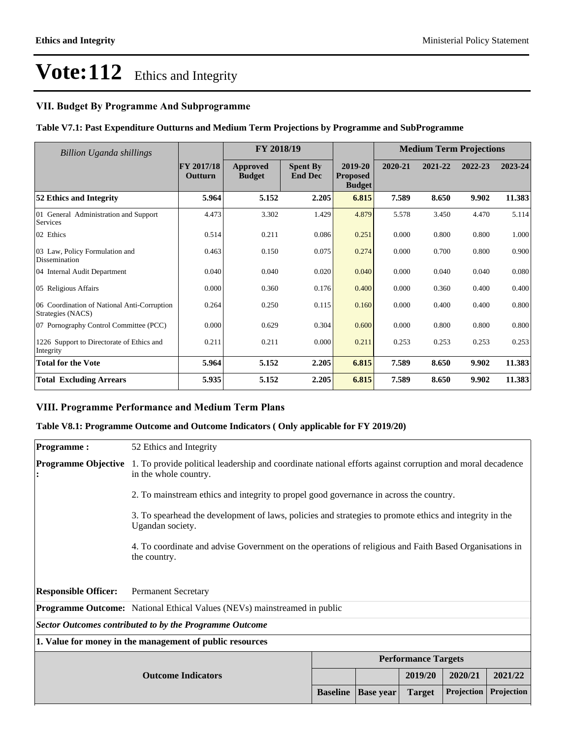### **VII. Budget By Programme And Subprogramme**

### **Table V7.1: Past Expenditure Outturns and Medium Term Projections by Programme and SubProgramme**

| <b>Billion Uganda shillings</b>                                  | FY 2018/19                          |                           |                                   | <b>Medium Term Projections</b>              |         |         |         |         |
|------------------------------------------------------------------|-------------------------------------|---------------------------|-----------------------------------|---------------------------------------------|---------|---------|---------|---------|
|                                                                  | <b>FY 2017/18</b><br><b>Outturn</b> | Approved<br><b>Budget</b> | <b>Spent By</b><br><b>End Dec</b> | 2019-20<br><b>Proposed</b><br><b>Budget</b> | 2020-21 | 2021-22 | 2022-23 | 2023-24 |
| 52 Ethics and Integrity                                          | 5.964                               | 5.152                     | 2.205                             | 6.815                                       | 7.589   | 8.650   | 9.902   | 11.383  |
| 01 General Administration and Support<br>Services                | 4.473                               | 3.302                     | 1.429                             | 4.879                                       | 5.578   | 3.450   | 4.470   | 5.114   |
| 02 Ethics                                                        | 0.514                               | 0.211                     | 0.086                             | 0.251                                       | 0.000   | 0.800   | 0.800   | 1.000   |
| 03 Law, Policy Formulation and<br>Dissemination                  | 0.463                               | 0.150                     | 0.075                             | 0.274                                       | 0.000   | 0.700   | 0.800   | 0.900   |
| 04 Internal Audit Department                                     | 0.040                               | 0.040                     | 0.020                             | 0.040                                       | 0.000   | 0.040   | 0.040   | 0.080   |
| 05 Religious Affairs                                             | 0.000                               | 0.360                     | 0.176                             | 0.400                                       | 0.000   | 0.360   | 0.400   | 0.400   |
| 06 Coordination of National Anti-Corruption<br>Strategies (NACS) | 0.264                               | 0.250                     | 0.115                             | 0.160                                       | 0.000   | 0.400   | 0.400   | 0.800   |
| 07 Pornography Control Committee (PCC)                           | 0.000                               | 0.629                     | 0.304                             | 0.600                                       | 0.000   | 0.800   | 0.800   | 0.800   |
| 1226 Support to Directorate of Ethics and<br>Integrity           | 0.211                               | 0.211                     | 0.000                             | 0.211                                       | 0.253   | 0.253   | 0.253   | 0.253   |
| <b>Total for the Vote</b>                                        | 5.964                               | 5.152                     | 2.205                             | 6.815                                       | 7.589   | 8.650   | 9.902   | 11.383  |
| <b>Total Excluding Arrears</b>                                   | 5.935                               | 5.152                     | 2.205                             | 6.815                                       | 7.589   | 8.650   | 9.902   | 11.383  |

### **VIII. Programme Performance and Medium Term Plans**

### **Table V8.1: Programme Outcome and Outcome Indicators ( Only applicable for FY 2019/20)**

| <b>Programme:</b>                                                                | 52 Ethics and Integrity                                                                                                            |  |         |         |         |  |  |  |  |
|----------------------------------------------------------------------------------|------------------------------------------------------------------------------------------------------------------------------------|--|---------|---------|---------|--|--|--|--|
| <b>Programme Objective</b>                                                       | 1. To provide political leadership and coordinate national efforts against corruption and moral decadence<br>in the whole country. |  |         |         |         |  |  |  |  |
|                                                                                  | 2. To mainstream ethics and integrity to propel good governance in across the country.                                             |  |         |         |         |  |  |  |  |
|                                                                                  | 3. To spearhead the development of laws, policies and strategies to promote ethics and integrity in the<br>Ugandan society.        |  |         |         |         |  |  |  |  |
|                                                                                  | 4. To coordinate and advise Government on the operations of religious and Faith Based Organisations in<br>the country.             |  |         |         |         |  |  |  |  |
| <b>Responsible Officer:</b>                                                      | <b>Permanent Secretary</b>                                                                                                         |  |         |         |         |  |  |  |  |
|                                                                                  | <b>Programme Outcome:</b> National Ethical Values (NEVs) mainstreamed in public                                                    |  |         |         |         |  |  |  |  |
|                                                                                  | <b>Sector Outcomes contributed to by the Programme Outcome</b>                                                                     |  |         |         |         |  |  |  |  |
| 1. Value for money in the management of public resources                         |                                                                                                                                    |  |         |         |         |  |  |  |  |
|                                                                                  | <b>Performance Targets</b>                                                                                                         |  |         |         |         |  |  |  |  |
|                                                                                  |                                                                                                                                    |  | 2019/20 | 2020/21 | 2021/22 |  |  |  |  |
| Projection<br>Projection<br><b>Baseline</b><br><b>Target</b><br><b>Base</b> year |                                                                                                                                    |  |         |         |         |  |  |  |  |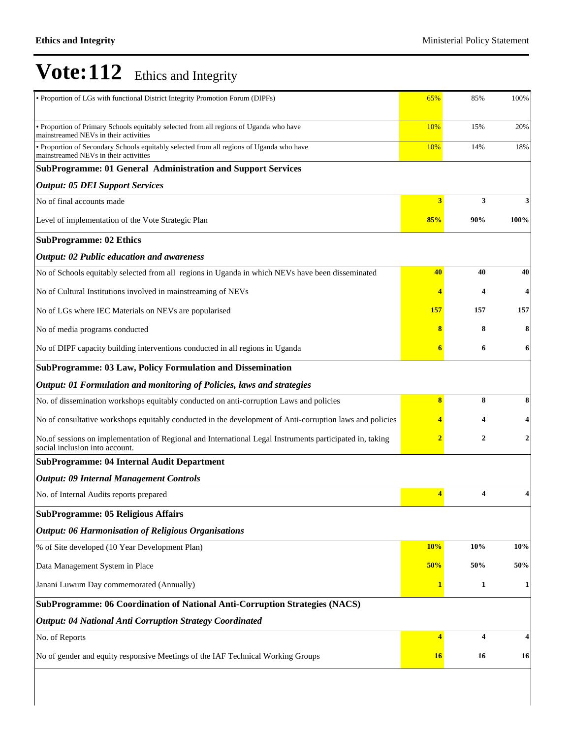| • Proportion of LGs with functional District Integrity Promotion Forum (DIPFs)                                                             | 65%                     | 85% | 100% |
|--------------------------------------------------------------------------------------------------------------------------------------------|-------------------------|-----|------|
| • Proportion of Primary Schools equitably selected from all regions of Uganda who have<br>mainstreamed NEVs in their activities            | 10%                     | 15% | 20%  |
| · Proportion of Secondary Schools equitably selected from all regions of Uganda who have<br>mainstreamed NEVs in their activities          | 10%                     | 14% | 18%  |
| SubProgramme: 01 General Administration and Support Services                                                                               |                         |     |      |
| <b>Output: 05 DEI Support Services</b>                                                                                                     |                         |     |      |
| No of final accounts made                                                                                                                  | 3                       | 3   | 3    |
| Level of implementation of the Vote Strategic Plan                                                                                         | 85%                     | 90% | 100% |
| <b>SubProgramme: 02 Ethics</b>                                                                                                             |                         |     |      |
| <b>Output: 02 Public education and awareness</b>                                                                                           |                         |     |      |
| No of Schools equitably selected from all regions in Uganda in which NEVs have been disseminated                                           | 40                      | 40  | 40   |
| No of Cultural Institutions involved in mainstreaming of NEVs                                                                              | 4                       | 4   | 4    |
| No of LGs where IEC Materials on NEVs are popularised                                                                                      | <b>157</b>              | 157 | 157  |
| No of media programs conducted                                                                                                             | 8                       | 8   | 8    |
| No of DIPF capacity building interventions conducted in all regions in Uganda                                                              | 6                       | 6   | 6    |
| SubProgramme: 03 Law, Policy Formulation and Dissemination                                                                                 |                         |     |      |
| Output: 01 Formulation and monitoring of Policies, laws and strategies                                                                     |                         |     |      |
| No. of dissemination workshops equitably conducted on anti-corruption Laws and policies                                                    | 8                       | 8   | 8    |
| No of consultative workshops equitably conducted in the development of Anti-corruption laws and policies                                   | 4                       | 4   |      |
| No.of sessions on implementation of Regional and International Legal Instruments participated in, taking<br>social inclusion into account. | $\overline{\mathbf{2}}$ | 2   | 2    |
| <b>SubProgramme: 04 Internal Audit Department</b>                                                                                          |                         |     |      |
| <b>Output: 09 Internal Management Controls</b>                                                                                             |                         |     |      |
| No. of Internal Audits reports prepared                                                                                                    | 4                       | 4   |      |
| <b>SubProgramme: 05 Religious Affairs</b>                                                                                                  |                         |     |      |
| <b>Output: 06 Harmonisation of Religious Organisations</b>                                                                                 |                         |     |      |
| % of Site developed (10 Year Development Plan)                                                                                             | 10%                     | 10% | 10%  |
| Data Management System in Place                                                                                                            | 50%                     | 50% | 50%  |
| Janani Luwum Day commemorated (Annually)                                                                                                   | 1                       | 1   | 1    |
| SubProgramme: 06 Coordination of National Anti-Corruption Strategies (NACS)                                                                |                         |     |      |
| <b>Output: 04 National Anti Corruption Strategy Coordinated</b>                                                                            |                         |     |      |
| No. of Reports                                                                                                                             | 4                       | 4   | 4    |
| No of gender and equity responsive Meetings of the IAF Technical Working Groups                                                            | <b>16</b>               | 16  | 16   |
|                                                                                                                                            |                         |     |      |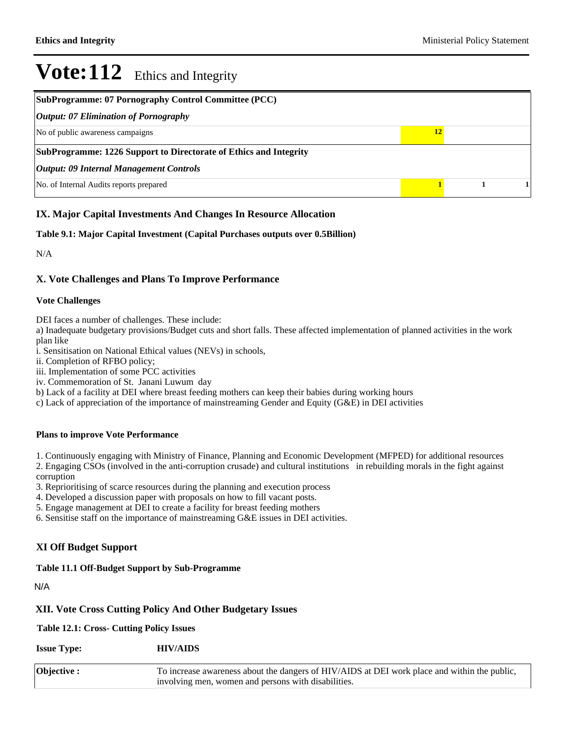| <b>SubProgramme: 07 Pornography Control Committee (PCC)</b>       |  |  |  |  |  |  |  |
|-------------------------------------------------------------------|--|--|--|--|--|--|--|
| <b>Output: 07 Elimination of Pornography</b>                      |  |  |  |  |  |  |  |
| No of public awareness campaigns<br>12                            |  |  |  |  |  |  |  |
| SubProgramme: 1226 Support to Directorate of Ethics and Integrity |  |  |  |  |  |  |  |
| <b>Output: 09 Internal Management Controls</b>                    |  |  |  |  |  |  |  |
| No. of Internal Audits reports prepared                           |  |  |  |  |  |  |  |

### **IX. Major Capital Investments And Changes In Resource Allocation**

### **Table 9.1: Major Capital Investment (Capital Purchases outputs over 0.5Billion)**

N/A

### **X. Vote Challenges and Plans To Improve Performance**

#### **Vote Challenges**

DEI faces a number of challenges. These include:

a) Inadequate budgetary provisions/Budget cuts and short falls. These affected implementation of planned activities in the work plan like

i. Sensitisation on National Ethical values (NEVs) in schools,

ii. Completion of RFBO policy;

iii. Implementation of some PCC activities

iv. Commemoration of St. Janani Luwum day

b) Lack of a facility at DEI where breast feeding mothers can keep their babies during working hours

c) Lack of appreciation of the importance of mainstreaming Gender and Equity (G&E) in DEI activities

#### **Plans to improve Vote Performance**

1. Continuously engaging with Ministry of Finance, Planning and Economic Development (MFPED) for additional resources 2. Engaging CSOs (involved in the anti-corruption crusade) and cultural institutions in rebuilding morals in the fight against corruption

3. Reprioritising of scarce resources during the planning and execution process

4. Developed a discussion paper with proposals on how to fill vacant posts.

5. Engage management at DEI to create a facility for breast feeding mothers

6. Sensitise staff on the importance of mainstreaming G&E issues in DEI activities.

### **XI Off Budget Support**

### **Table 11.1 Off-Budget Support by Sub-Programme**

N/A

### **XII. Vote Cross Cutting Policy And Other Budgetary Issues**

**Table 12.1: Cross- Cutting Policy Issues**

**Issue Type: HIV/AIDS**

| $\vert$ Objective : | To increase awareness about the dangers of HIV/AIDS at DEI work place and within the public, |
|---------------------|----------------------------------------------------------------------------------------------|
|                     | involving men, women and persons with disabilities.                                          |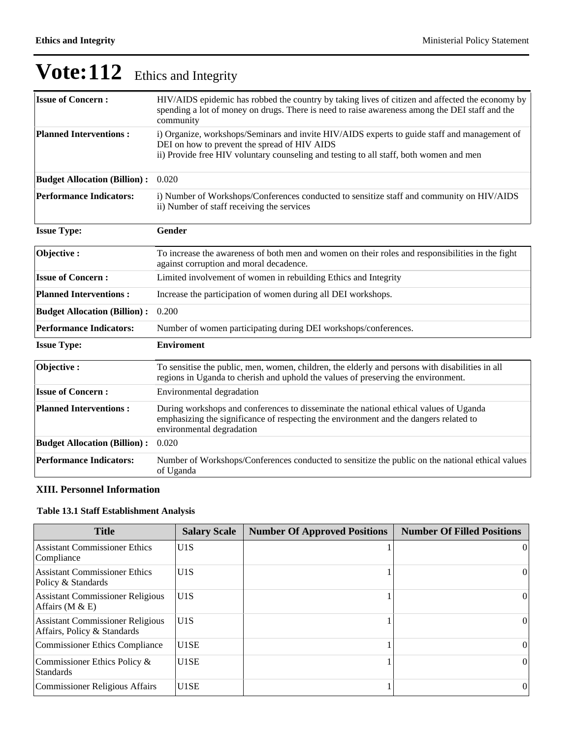| <b>Issue of Concern:</b>            | HIV/AIDS epidemic has robbed the country by taking lives of citizen and affected the economy by<br>spending a lot of money on drugs. There is need to raise awareness among the DEI staff and the<br>community                         |
|-------------------------------------|----------------------------------------------------------------------------------------------------------------------------------------------------------------------------------------------------------------------------------------|
| <b>Planned Interventions:</b>       | i) Organize, workshops/Seminars and invite HIV/AIDS experts to guide staff and management of<br>DEI on how to prevent the spread of HIV AIDS<br>ii) Provide free HIV voluntary counseling and testing to all staff, both women and men |
| <b>Budget Allocation (Billion):</b> | 0.020                                                                                                                                                                                                                                  |
| <b>Performance Indicators:</b>      | i) Number of Workshops/Conferences conducted to sensitize staff and community on HIV/AIDS<br>ii) Number of staff receiving the services                                                                                                |
| <b>Issue Type:</b>                  | Gender                                                                                                                                                                                                                                 |
| Objective:                          | To increase the awareness of both men and women on their roles and responsibilities in the fight<br>against corruption and moral decadence.                                                                                            |
| <b>Issue of Concern:</b>            | Limited involvement of women in rebuilding Ethics and Integrity                                                                                                                                                                        |
| <b>Planned Interventions:</b>       | Increase the participation of women during all DEI workshops.                                                                                                                                                                          |
| <b>Budget Allocation (Billion):</b> | 0.200                                                                                                                                                                                                                                  |
| <b>Performance Indicators:</b>      | Number of women participating during DEI workshops/conferences.                                                                                                                                                                        |
| <b>Issue Type:</b>                  | <b>Enviroment</b>                                                                                                                                                                                                                      |
| Objective:                          | To sensitise the public, men, women, children, the elderly and persons with disabilities in all<br>regions in Uganda to cherish and uphold the values of preserving the environment.                                                   |
| <b>Issue of Concern:</b>            | Environmental degradation                                                                                                                                                                                                              |
| <b>Planned Interventions:</b>       | During workshops and conferences to disseminate the national ethical values of Uganda<br>emphasizing the significance of respecting the environment and the dangers related to<br>environmental degradation                            |
| <b>Budget Allocation (Billion):</b> | 0.020                                                                                                                                                                                                                                  |
| <b>Performance Indicators:</b>      | Number of Workshops/Conferences conducted to sensitize the public on the national ethical values<br>of Uganda                                                                                                                          |

## **XIII. Personnel Information**

## **Table 13.1 Staff Establishment Analysis**

| <b>Title</b>                                                           | <b>Salary Scale</b> | <b>Number Of Approved Positions</b> | <b>Number Of Filled Positions</b> |
|------------------------------------------------------------------------|---------------------|-------------------------------------|-----------------------------------|
| <b>Assistant Commissioner Ethics</b><br>Compliance                     | U1S                 |                                     | $\Omega$                          |
| <b>Assistant Commissioner Ethics</b><br>Policy & Standards             | U1S                 |                                     | $\vert$                           |
| <b>Assistant Commissioner Religious</b><br>Affairs ( $M &E$ )          | U1S                 |                                     | $\Omega$                          |
| <b>Assistant Commissioner Religious</b><br>Affairs, Policy & Standards | U1S                 |                                     | $\Omega$                          |
| <b>Commissioner Ethics Compliance</b>                                  | U <sub>1</sub> SE   |                                     | $\Omega$                          |
| Commissioner Ethics Policy &<br><b>Standards</b>                       | U1SE                |                                     | $\vert$                           |
| <b>Commissioner Religious Affairs</b>                                  | U <sub>1</sub> SE   |                                     | 0                                 |